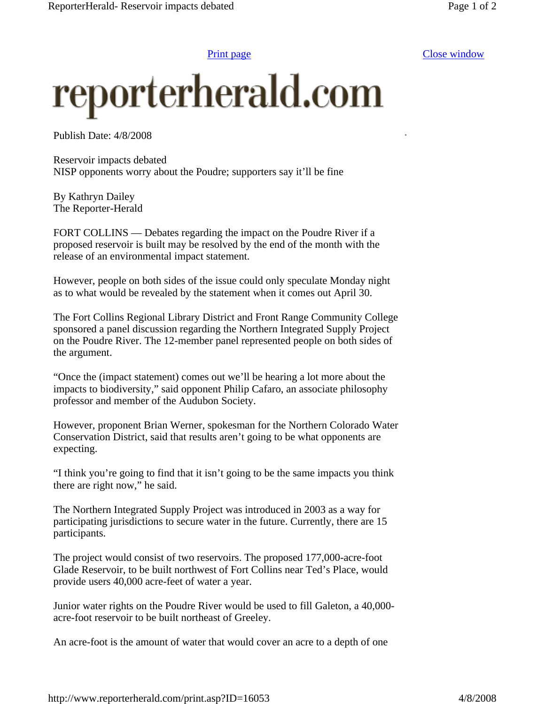Print page Close window

## reporterherald.com

Publish Date: 4/8/2008

Reservoir impacts debated NISP opponents worry about the Poudre; supporters say it'll be fine

By Kathryn Dailey The Reporter-Herald

FORT COLLINS — Debates regarding the impact on the Poudre River if a proposed reservoir is built may be resolved by the end of the month with the release of an environmental impact statement.

However, people on both sides of the issue could only speculate Monday night as to what would be revealed by the statement when it comes out April 30.

The Fort Collins Regional Library District and Front Range Community College sponsored a panel discussion regarding the Northern Integrated Supply Project on the Poudre River. The 12-member panel represented people on both sides of the argument.

"Once the (impact statement) comes out we'll be hearing a lot more about the impacts to biodiversity," said opponent Philip Cafaro, an associate philosophy professor and member of the Audubon Society.

However, proponent Brian Werner, spokesman for the Northern Colorado Water Conservation District, said that results aren't going to be what opponents are expecting.

"I think you're going to find that it isn't going to be the same impacts you think there are right now," he said.

The Northern Integrated Supply Project was introduced in 2003 as a way for participating jurisdictions to secure water in the future. Currently, there are 15 participants.

The project would consist of two reservoirs. The proposed 177,000-acre-foot Glade Reservoir, to be built northwest of Fort Collins near Ted's Place, would provide users 40,000 acre-feet of water a year.

Junior water rights on the Poudre River would be used to fill Galeton, a 40,000 acre-foot reservoir to be built northeast of Greeley.

An acre-foot is the amount of water that would cover an acre to a depth of one